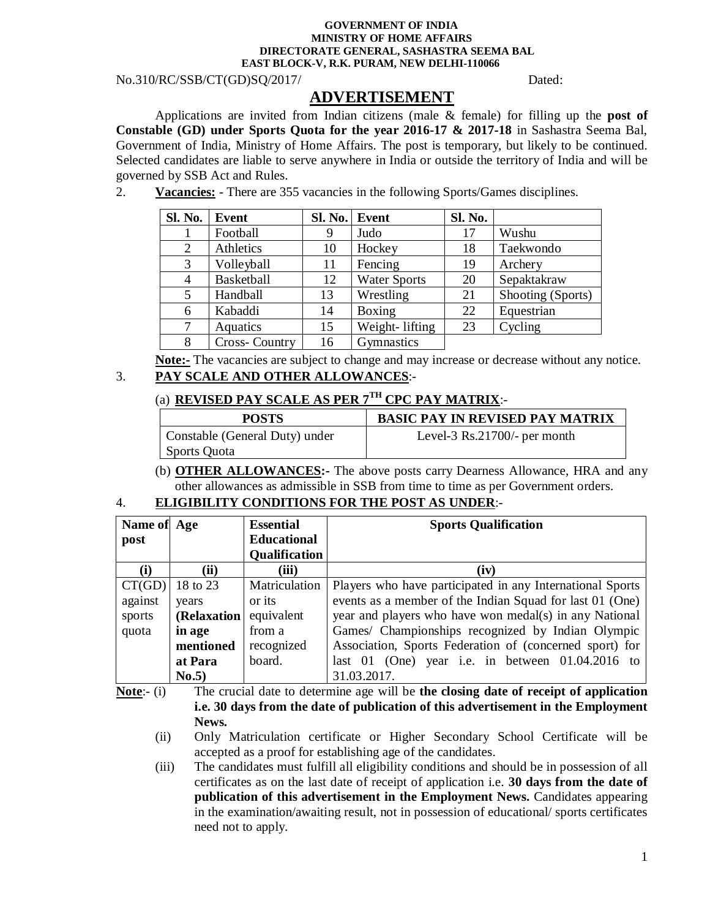#### **GOVERNMENT OF INDIA MINISTRY OF HOME AFFAIRS DIRECTORATE GENERAL, SASHASTRA SEEMA BAL EAST BLOCK-V, R.K. PURAM, NEW DELHI-110066**

No.310/RC/SSB/CT(GD)SQ/2017/ Dated:

# **ADVERTISEMENT**

Applications are invited from Indian citizens (male & female) for filling up the **post of Constable (GD) under Sports Quota for the year 2016-17 & 2017-18** in Sashastra Seema Bal, Government of India, Ministry of Home Affairs. The post is temporary, but likely to be continued. Selected candidates are liable to serve anywhere in India or outside the territory of India and will be governed by SSB Act and Rules.

2. **Vacancies:** - There are 355 vacancies in the following Sports/Games disciplines.

| Sl. No. | <b>Event</b>  | SI. No. | Event               | Sl. No. |                   |
|---------|---------------|---------|---------------------|---------|-------------------|
|         | Football      | 9       | Judo                | 17      | Wushu             |
| 2       | Athletics     | 10      | Hockey              | 18      | Taekwondo         |
| 3       | Volleyball    | 11      | Fencing             | 19      | Archery           |
| 4       | Basketball    | 12      | <b>Water Sports</b> | 20      | Sepaktakraw       |
| 5       | Handball      | 13      | Wrestling           | 21      | Shooting (Sports) |
| 6       | Kabaddi       | 14      | Boxing              | 22      | Equestrian        |
|         | Aquatics      | 15      | Weight-lifting      | 23      | Cycling           |
| 8       | Cross-Country | 16      | Gymnastics          |         |                   |

**Note:-** The vacancies are subject to change and may increase or decrease without any notice. 3. **PAY SCALE AND OTHER ALLOWANCES**:-

## (a) **REVISED PAY SCALE AS PER 7 TH CPC PAY MATRIX**:-

| <b>POSTS</b>                   | <b>BASIC PAY IN REVISED PAY MATRIX</b> |
|--------------------------------|----------------------------------------|
| Constable (General Duty) under | Level-3 $\text{Rs}.21700/-$ per month  |
| Sports Quota                   |                                        |

(b) **OTHER ALLOWANCES:-** The above posts carry Dearness Allowance, HRA and any other allowances as admissible in SSB from time to time as per Government orders.

## 4. **ELIGIBILITY CONDITIONS FOR THE POST AS UNDER**:-

| Name of Age |             | <b>Essential</b>     | <b>Sports Qualification</b>                               |  |  |
|-------------|-------------|----------------------|-----------------------------------------------------------|--|--|
| post        |             | <b>Educational</b>   |                                                           |  |  |
|             |             | <b>Qualification</b> |                                                           |  |  |
| (i)         | (ii)        | (iii)                | (iv)                                                      |  |  |
| CT(GD)      | 18 to 23    | Matriculation        | Players who have participated in any International Sports |  |  |
| against     | years       | or its               | events as a member of the Indian Squad for last 01 (One)  |  |  |
| sports      | (Relaxation | equivalent           | year and players who have won medal(s) in any National    |  |  |
| quota       | in age      | from a               | Games/ Championships recognized by Indian Olympic         |  |  |
|             | mentioned   | recognized           | Association, Sports Federation of (concerned sport) for   |  |  |
|             | at Para     | board.               | last 01 (One) year i.e. in between $01.04.2016$ to        |  |  |
|             | No.5)       |                      | 31.03.2017.                                               |  |  |

**Note**:- (i) The crucial date to determine age will be **the closing date of receipt of application i.e. 30 days from the date of publication of this advertisement in the Employment News.**

- (ii) Only Matriculation certificate or Higher Secondary School Certificate will be accepted as a proof for establishing age of the candidates.
- (iii) The candidates must fulfill all eligibility conditions and should be in possession of all certificates as on the last date of receipt of application i.e. **30 days from the date of publication of this advertisement in the Employment News.** Candidates appearing in the examination/awaiting result, not in possession of educational/ sports certificates need not to apply.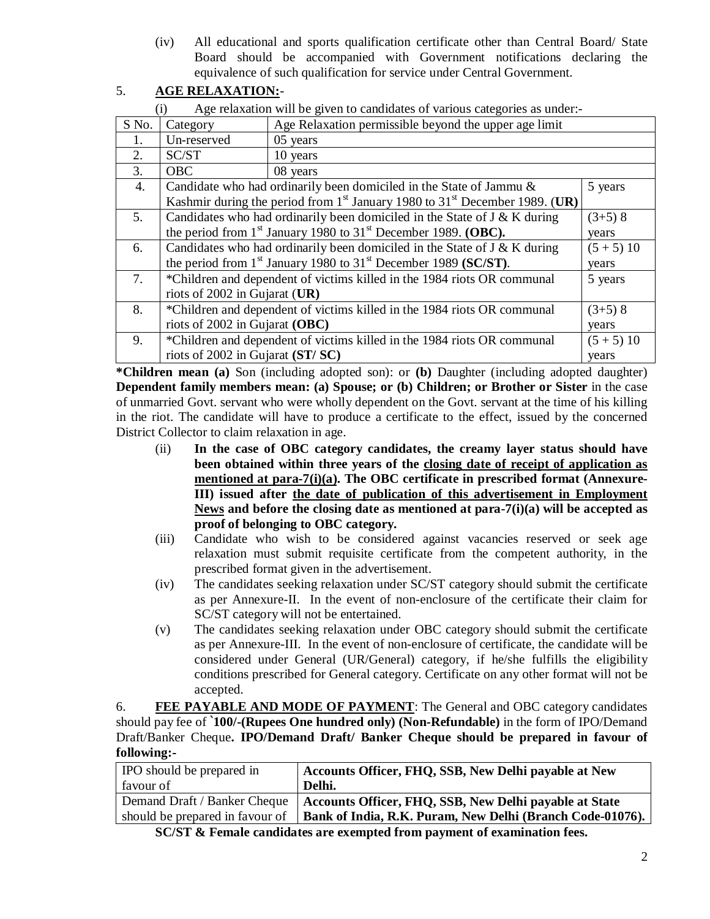(iv) All educational and sports qualification certificate other than Central Board/ State Board should be accompanied with Government notifications declaring the equivalence of such qualification for service under Central Government.

## 5. **AGE RELAXATION:**-

(i) Age relaxation will be given to candidates of various categories as under:-

|                  | $\lambda$                                                                                 | $\frac{1}{2}$ remainded will be graved to candidate of various categories as and $\frac{1}{2}$ |              |  |  |
|------------------|-------------------------------------------------------------------------------------------|------------------------------------------------------------------------------------------------|--------------|--|--|
| S No.            | Age Relaxation permissible beyond the upper age limit<br>Category                         |                                                                                                |              |  |  |
| 1.               | Un-reserved<br>05 years                                                                   |                                                                                                |              |  |  |
| 2.               | SC/ST                                                                                     | 10 years                                                                                       |              |  |  |
| 3.               | <b>OBC</b>                                                                                | 08 years                                                                                       |              |  |  |
| $\overline{4}$ . |                                                                                           | Candidate who had ordinarily been domiciled in the State of Jammu &                            | 5 years      |  |  |
|                  |                                                                                           | Kashmir during the period from $1st$ January 1980 to 31 <sup>st</sup> December 1989. (UR)      |              |  |  |
| 5.               | Candidates who had ordinarily been domiciled in the State of J & K during<br>$(3+5)$ 8    |                                                                                                |              |  |  |
|                  | the period from $1st$ January 1980 to $31st$ December 1989. (OBC).<br>vears               |                                                                                                |              |  |  |
| 6.               | Candidates who had ordinarily been domiciled in the State of J & K during<br>$(5 + 5) 10$ |                                                                                                |              |  |  |
|                  | the period from $1st$ January 1980 to $31st$ December 1989 (SC/ST).<br>vears              |                                                                                                |              |  |  |
| 7.               | *Children and dependent of victims killed in the 1984 riots OR communal<br>5 years        |                                                                                                |              |  |  |
|                  | riots of 2002 in Gujarat $(UR)$                                                           |                                                                                                |              |  |  |
| 8.               | *Children and dependent of victims killed in the 1984 riots OR communal<br>$(3+5)$ 8      |                                                                                                |              |  |  |
|                  | riots of 2002 in Gujarat (OBC)<br>years                                                   |                                                                                                |              |  |  |
| 9.               |                                                                                           | *Children and dependent of victims killed in the 1984 riots OR communal                        | $(5 + 5) 10$ |  |  |
|                  | riots of 2002 in Gujarat (ST/SC)                                                          |                                                                                                | years        |  |  |

**\*Children mean (a)** Son (including adopted son): or **(b)** Daughter (including adopted daughter) **Dependent family members mean: (a) Spouse; or (b) Children; or Brother or Sister** in the case of unmarried Govt. servant who were wholly dependent on the Govt. servant at the time of his killing in the riot. The candidate will have to produce a certificate to the effect, issued by the concerned District Collector to claim relaxation in age.

- (ii) **In the case of OBC category candidates, the creamy layer status should have been obtained within three years of the closing date of receipt of application as mentioned at para-7(i)(a). The OBC certificate in prescribed format (Annexure-III) issued after the date of publication of this advertisement in Employment News and before the closing date as mentioned at para-7(i)(a) will be accepted as proof of belonging to OBC category.**
- (iii) Candidate who wish to be considered against vacancies reserved or seek age relaxation must submit requisite certificate from the competent authority, in the prescribed format given in the advertisement.
- (iv) The candidates seeking relaxation under SC/ST category should submit the certificate as per Annexure-II. In the event of non-enclosure of the certificate their claim for SC/ST category will not be entertained.
- (v) The candidates seeking relaxation under OBC category should submit the certificate as per Annexure-III. In the event of non-enclosure of certificate, the candidate will be considered under General (UR/General) category, if he/she fulfills the eligibility conditions prescribed for General category. Certificate on any other format will not be accepted.

6. **FEE PAYABLE AND MODE OF PAYMENT**: The General and OBC category candidates should pay fee of **`100/-(Rupees One hundred only) (Non-Refundable)** in the form of IPO/Demand Draft/Banker Cheque**. IPO/Demand Draft/ Banker Cheque should be prepared in favour of following:-**

| <b>IPO</b> should be prepared in                                                | Accounts Officer, FHQ, SSB, New Delhi payable at New      |  |  |
|---------------------------------------------------------------------------------|-----------------------------------------------------------|--|--|
| l favour of                                                                     | Delhi.                                                    |  |  |
| Demand Draft / Banker Cheque                                                    | Accounts Officer, FHQ, SSB, New Delhi payable at State    |  |  |
| should be prepared in favour of                                                 | Bank of India, R.K. Puram, New Delhi (Branch Code-01076). |  |  |
| $CO/CH 0$ Fermily and Halater are accurated from accuracy of consideration from |                                                           |  |  |

**SC/ST & Female candidates are exempted from payment of examination fees.**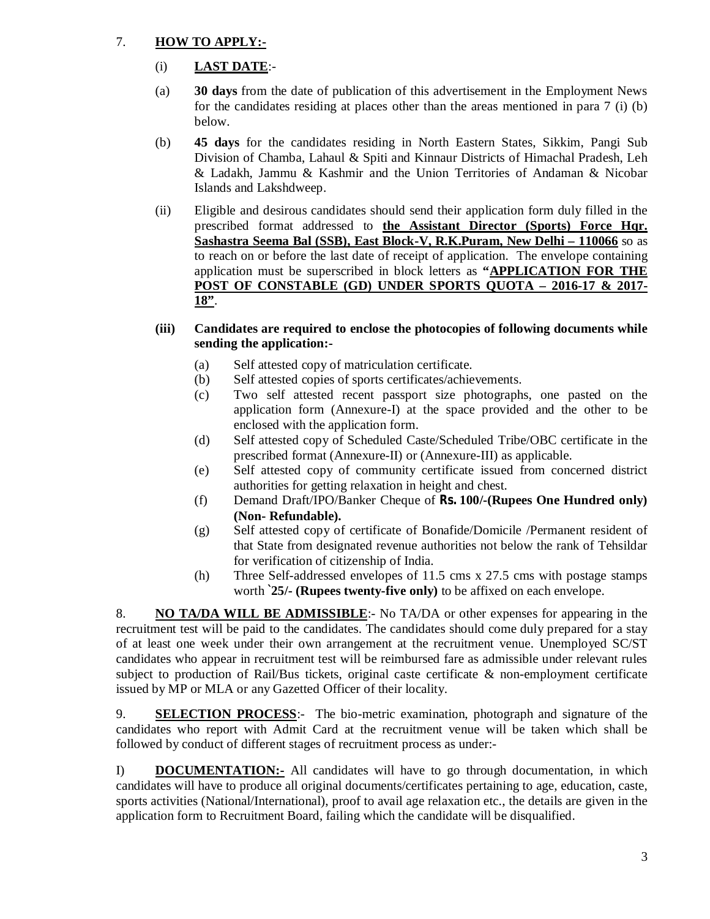## 7. **HOW TO APPLY:-**

- (i) **LAST DATE**:-
- (a) **30 days** from the date of publication of this advertisement in the Employment News for the candidates residing at places other than the areas mentioned in para 7 (i) (b) below.
- (b) **45 days** for the candidates residing in North Eastern States, Sikkim, Pangi Sub Division of Chamba, Lahaul & Spiti and Kinnaur Districts of Himachal Pradesh, Leh & Ladakh, Jammu & Kashmir and the Union Territories of Andaman & Nicobar Islands and Lakshdweep.
- (ii) Eligible and desirous candidates should send their application form duly filled in the prescribed format addressed to **the Assistant Director (Sports) Force Hqr. Sashastra Seema Bal (SSB), East Block-V, R.K.Puram, New Delhi – 110066** so as to reach on or before the last date of receipt of application. The envelope containing application must be superscribed in block letters as **"APPLICATION FOR THE POST OF CONSTABLE (GD) UNDER SPORTS QUOTA – 2016-17 & 2017- 18"**.
- **(iii) Candidates are required to enclose the photocopies of following documents while sending the application:-**
	- (a) Self attested copy of matriculation certificate.
	- (b) Self attested copies of sports certificates/achievements.
	- (c) Two self attested recent passport size photographs, one pasted on the application form (Annexure-I) at the space provided and the other to be enclosed with the application form.
	- (d) Self attested copy of Scheduled Caste/Scheduled Tribe/OBC certificate in the prescribed format (Annexure-II) or (Annexure-III) as applicable.
	- (e) Self attested copy of community certificate issued from concerned district authorities for getting relaxation in height and chest.
	- (f) Demand Draft/IPO/Banker Cheque of **Rs. 100/-(Rupees One Hundred only) (Non- Refundable).**
	- (g) Self attested copy of certificate of Bonafide/Domicile /Permanent resident of that State from designated revenue authorities not below the rank of Tehsildar for verification of citizenship of India.
	- (h) Three Self-addressed envelopes of 11.5 cms x 27.5 cms with postage stamps worth **`25/- (Rupees twenty-five only)** to be affixed on each envelope.

8. **NO TA/DA WILL BE ADMISSIBLE**:- No TA/DA or other expenses for appearing in the recruitment test will be paid to the candidates. The candidates should come duly prepared for a stay of at least one week under their own arrangement at the recruitment venue. Unemployed SC/ST candidates who appear in recruitment test will be reimbursed fare as admissible under relevant rules subject to production of Rail/Bus tickets, original caste certificate & non-employment certificate issued by MP or MLA or any Gazetted Officer of their locality.

9. **SELECTION PROCESS**:- The bio-metric examination, photograph and signature of the candidates who report with Admit Card at the recruitment venue will be taken which shall be followed by conduct of different stages of recruitment process as under:-

I) **DOCUMENTATION:-** All candidates will have to go through documentation, in which candidates will have to produce all original documents/certificates pertaining to age, education, caste, sports activities (National/International), proof to avail age relaxation etc., the details are given in the application form to Recruitment Board, failing which the candidate will be disqualified.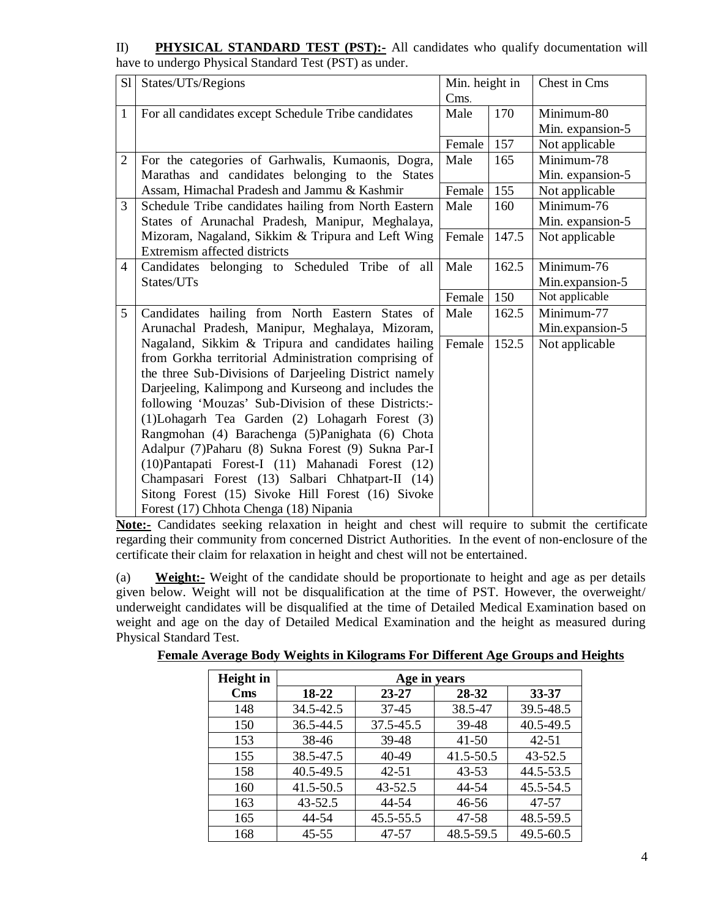II) **PHYSICAL STANDARD TEST (PST):** All candidates who qualify documentation will have to undergo Physical Standard Test (PST) as under.

| S1             | States/UTs/Regions                                    | Min. height in |       | Chest in Cms     |
|----------------|-------------------------------------------------------|----------------|-------|------------------|
|                |                                                       | Cms.           |       |                  |
| $\mathbf{1}$   | For all candidates except Schedule Tribe candidates   | Male           | 170   | Minimum-80       |
|                |                                                       |                |       | Min. expansion-5 |
|                |                                                       | Female         | 157   | Not applicable   |
| $\overline{2}$ | For the categories of Garhwalis, Kumaonis, Dogra,     | Male           | 165   | Minimum-78       |
|                | Marathas and candidates belonging to the States       |                |       | Min. expansion-5 |
|                | Assam, Himachal Pradesh and Jammu & Kashmir           | Female         | 155   | Not applicable   |
| 3              | Schedule Tribe candidates hailing from North Eastern  | Male           | 160   | Minimum-76       |
|                | States of Arunachal Pradesh, Manipur, Meghalaya,      |                |       | Min. expansion-5 |
|                | Mizoram, Nagaland, Sikkim & Tripura and Left Wing     | Female         | 147.5 | Not applicable   |
|                | Extremism affected districts                          |                |       |                  |
| 4              | Candidates belonging to Scheduled Tribe of all        | Male           | 162.5 | Minimum-76       |
|                | States/UTs                                            |                |       | Min.expansion-5  |
|                |                                                       | Female         | 150   | Not applicable   |
| 5              | Candidates hailing from North Eastern States of       | Male           | 162.5 | Minimum-77       |
|                | Arunachal Pradesh, Manipur, Meghalaya, Mizoram,       |                |       | Min.expansion-5  |
|                | Nagaland, Sikkim & Tripura and candidates hailing     | Female         | 152.5 | Not applicable   |
|                | from Gorkha territorial Administration comprising of  |                |       |                  |
|                | the three Sub-Divisions of Darjeeling District namely |                |       |                  |
|                | Darjeeling, Kalimpong and Kurseong and includes the   |                |       |                  |
|                | following 'Mouzas' Sub-Division of these Districts:-  |                |       |                  |
|                | (1)Lohagarh Tea Garden (2) Lohagarh Forest (3)        |                |       |                  |
|                | Rangmohan (4) Barachenga (5) Panighata (6) Chota      |                |       |                  |
|                | Adalpur (7) Paharu (8) Sukna Forest (9) Sukna Par-I   |                |       |                  |
|                | (10) Pantapati Forest-I (11) Mahanadi Forest (12)     |                |       |                  |
|                | Champasari Forest (13) Salbari Chhatpart-II (14)      |                |       |                  |
|                | Sitong Forest (15) Sivoke Hill Forest (16) Sivoke     |                |       |                  |
|                | Forest (17) Chhota Chenga (18) Nipania                |                |       |                  |

**Note:-** Candidates seeking relaxation in height and chest will require to submit the certificate regarding their community from concerned District Authorities. In the event of non-enclosure of the certificate their claim for relaxation in height and chest will not be entertained.

(a) **Weight:-** Weight of the candidate should be proportionate to height and age as per details given below. Weight will not be disqualification at the time of PST. However, the overweight/ underweight candidates will be disqualified at the time of Detailed Medical Examination based on weight and age on the day of Detailed Medical Examination and the height as measured during Physical Standard Test.

| <b>Female Average Body Weights in Kilograms For Different Age Groups and Heights</b> |  |  |  |
|--------------------------------------------------------------------------------------|--|--|--|
|                                                                                      |  |  |  |

| <b>Height</b> in                 | Age in years |           |           |               |  |  |
|----------------------------------|--------------|-----------|-----------|---------------|--|--|
| $\mathbf{C}\mathbf{m}\mathbf{s}$ | 18-22        | 23-27     | 28-32     | 33-37         |  |  |
| 148                              | 34.5-42.5    | $37 - 45$ | 38.5-47   | 39.5-48.5     |  |  |
| 150                              | 36.5-44.5    | 37.5-45.5 | 39-48     | 40.5-49.5     |  |  |
| 153                              | 38-46        | 39-48     | $41 - 50$ | $42 - 51$     |  |  |
| 155                              | 38.5-47.5    | 40-49     | 41.5-50.5 | 43-52.5       |  |  |
| 158                              | 40.5-49.5    | $42 - 51$ | $43 - 53$ | 44.5-53.5     |  |  |
| 160                              | 41.5-50.5    | 43-52.5   | 44-54     | 45.5-54.5     |  |  |
| 163                              | $43 - 52.5$  | 44-54     | 46-56     | 47-57         |  |  |
| 165                              | 44-54        | 45.5-55.5 | 47-58     | 48.5-59.5     |  |  |
| 168                              | $45 - 55$    | 47-57     | 48.5-59.5 | $49.5 - 60.5$ |  |  |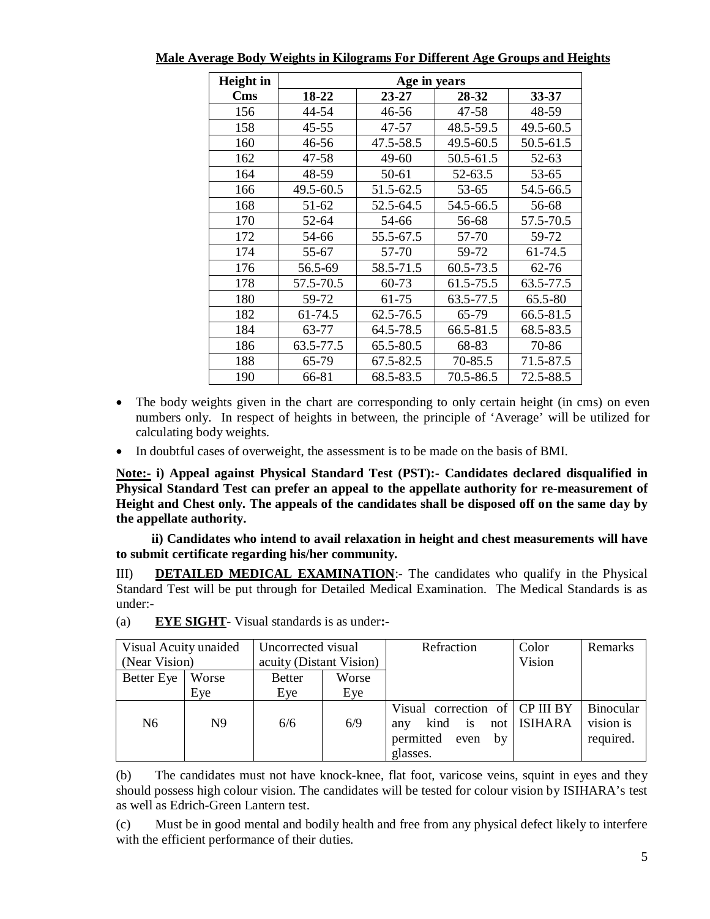| Height in  |           | Age in years |           |           |  |  |  |
|------------|-----------|--------------|-----------|-----------|--|--|--|
| <b>Cms</b> | 18-22     | 23-27        | 28-32     | 33-37     |  |  |  |
| 156        | 44-54     | 46-56        | 47-58     | 48-59     |  |  |  |
| 158        | 45-55     | 47-57        | 48.5-59.5 | 49.5-60.5 |  |  |  |
| 160        | 46-56     | 47.5-58.5    | 49.5-60.5 | 50.5-61.5 |  |  |  |
| 162        | 47-58     | 49-60        | 50.5-61.5 | 52-63     |  |  |  |
| 164        | 48-59     | 50-61        | 52-63.5   | 53-65     |  |  |  |
| 166        | 49.5-60.5 | 51.5-62.5    | 53-65     | 54.5-66.5 |  |  |  |
| 168        | 51-62     | 52.5-64.5    | 54.5-66.5 | 56-68     |  |  |  |
| 170        | 52-64     | 54-66        | 56-68     | 57.5-70.5 |  |  |  |
| 172        | 54-66     | 55.5-67.5    | 57-70     | 59-72     |  |  |  |
| 174        | 55-67     | 57-70        | 59-72     | 61-74.5   |  |  |  |
| 176        | 56.5-69   | 58.5-71.5    | 60.5-73.5 | 62-76     |  |  |  |
| 178        | 57.5-70.5 | 60-73        | 61.5-75.5 | 63.5-77.5 |  |  |  |
| 180        | 59-72     | 61-75        | 63.5-77.5 | 65.5-80   |  |  |  |
| 182        | 61-74.5   | 62.5-76.5    | 65-79     | 66.5-81.5 |  |  |  |
| 184        | 63-77     | 64.5-78.5    | 66.5-81.5 | 68.5-83.5 |  |  |  |
| 186        | 63.5-77.5 | 65.5-80.5    | 68-83     | 70-86     |  |  |  |
| 188        | 65-79     | 67.5-82.5    | 70-85.5   | 71.5-87.5 |  |  |  |
| 190        | 66-81     | 68.5-83.5    | 70.5-86.5 | 72.5-88.5 |  |  |  |

**Male Average Body Weights in Kilograms For Different Age Groups and Heights**

- The body weights given in the chart are corresponding to only certain height (in cms) on even numbers only. In respect of heights in between, the principle of 'Average' will be utilized for calculating body weights.
- In doubtful cases of overweight, the assessment is to be made on the basis of BMI.

**Note:- i) Appeal against Physical Standard Test (PST):- Candidates declared disqualified in Physical Standard Test can prefer an appeal to the appellate authority for re-measurement of Height and Chest only. The appeals of the candidates shall be disposed off on the same day by the appellate authority.**

 **ii) Candidates who intend to avail relaxation in height and chest measurements will have to submit certificate regarding his/her community.** 

III) **DETAILED MEDICAL EXAMINATION**:- The candidates who qualify in the Physical Standard Test will be put through for Detailed Medical Examination. The Medical Standards is as under:-

| Visual Acuity unaided<br>(Near Vision) |       | Uncorrected visual<br>acuity (Distant Vision) |       | Refraction                                                                              | Color<br>Vision | Remarks                                    |
|----------------------------------------|-------|-----------------------------------------------|-------|-----------------------------------------------------------------------------------------|-----------------|--------------------------------------------|
|                                        |       |                                               |       |                                                                                         |                 |                                            |
| Better Eye                             | Worse | <b>Better</b>                                 | Worse |                                                                                         |                 |                                            |
|                                        | Eye   | Eye                                           | Eye   |                                                                                         |                 |                                            |
| N <sub>6</sub>                         | N9    | 6/6                                           | 6/9   | Visual correction of CP III BY<br>kind is<br>any<br>permitted<br>even<br>by<br>glasses. | not   ISIHARA   | <b>Binocular</b><br>vision is<br>required. |

| (a) | <b>EYE SIGHT</b> - Visual standards is as under:- |  |  |  |  |
|-----|---------------------------------------------------|--|--|--|--|
|-----|---------------------------------------------------|--|--|--|--|

(b) The candidates must not have knock-knee, flat foot, varicose veins, squint in eyes and they should possess high colour vision. The candidates will be tested for colour vision by ISIHARA's test as well as Edrich-Green Lantern test.

(c) Must be in good mental and bodily health and free from any physical defect likely to interfere with the efficient performance of their duties.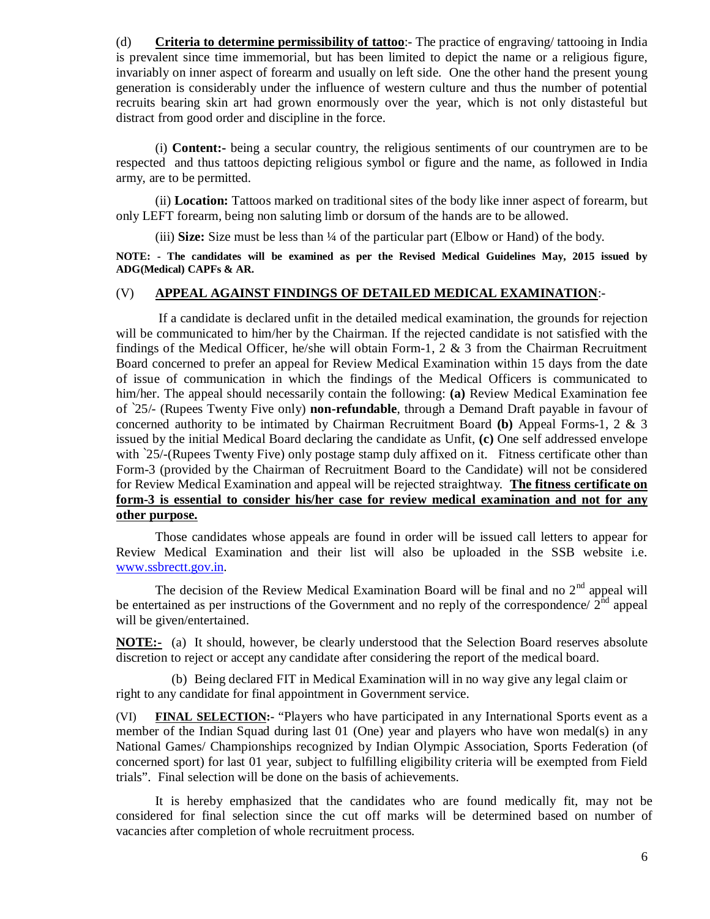(d) **Criteria to determine permissibility of tattoo**:- The practice of engraving/ tattooing in India is prevalent since time immemorial, but has been limited to depict the name or a religious figure, invariably on inner aspect of forearm and usually on left side. One the other hand the present young generation is considerably under the influence of western culture and thus the number of potential recruits bearing skin art had grown enormously over the year, which is not only distasteful but distract from good order and discipline in the force.

(i) **Content:-** being a secular country, the religious sentiments of our countrymen are to be respected and thus tattoos depicting religious symbol or figure and the name, as followed in India army, are to be permitted.

(ii) **Location:** Tattoos marked on traditional sites of the body like inner aspect of forearm, but only LEFT forearm, being non saluting limb or dorsum of the hands are to be allowed.

(iii) **Size:** Size must be less than ¼ of the particular part (Elbow or Hand) of the body.

**NOTE: - The candidates will be examined as per the Revised Medical Guidelines May, 2015 issued by ADG(Medical) CAPFs & AR.** 

#### (V) **APPEAL AGAINST FINDINGS OF DETAILED MEDICAL EXAMINATION**:-

If a candidate is declared unfit in the detailed medical examination, the grounds for rejection will be communicated to him/her by the Chairman. If the rejected candidate is not satisfied with the findings of the Medical Officer, he/she will obtain Form-1, 2  $\&$  3 from the Chairman Recruitment Board concerned to prefer an appeal for Review Medical Examination within 15 days from the date of issue of communication in which the findings of the Medical Officers is communicated to him/her. The appeal should necessarily contain the following: **(a)** Review Medical Examination fee of `25/- (Rupees Twenty Five only) **non-refundable**, through a Demand Draft payable in favour of concerned authority to be intimated by Chairman Recruitment Board **(b)** Appeal Forms-1, 2 & 3 issued by the initial Medical Board declaring the candidate as Unfit, **(c)** One self addressed envelope with '25/-(Rupees Twenty Five) only postage stamp duly affixed on it. Fitness certificate other than Form-3 (provided by the Chairman of Recruitment Board to the Candidate) will not be considered for Review Medical Examination and appeal will be rejected straightway. **The fitness certificate on form-3 is essential to consider his/her case for review medical examination and not for any other purpose.**

Those candidates whose appeals are found in order will be issued call letters to appear for Review Medical Examination and their list will also be uploaded in the SSB website i.e. [www.ssbrectt.gov.in.](http://www.ssbrectt.gov.in.) 

The decision of the Review Medical Examination Board will be final and no  $2<sup>nd</sup>$  appeal will be entertained as per instructions of the Government and no reply of the correspondence/  $2<sup>nd</sup>$  appeal will be given/entertained.

**NOTE:-** (a) It should, however, be clearly understood that the Selection Board reserves absolute discretion to reject or accept any candidate after considering the report of the medical board.

 (b) Being declared FIT in Medical Examination will in no way give any legal claim or right to any candidate for final appointment in Government service.

(VI) **FINAL SELECTION:-** "Players who have participated in any International Sports event as a member of the Indian Squad during last 01 (One) year and players who have won medal(s) in any National Games/ Championships recognized by Indian Olympic Association, Sports Federation (of concerned sport) for last 01 year, subject to fulfilling eligibility criteria will be exempted from Field trials". Final selection will be done on the basis of achievements.

It is hereby emphasized that the candidates who are found medically fit, may not be considered for final selection since the cut off marks will be determined based on number of vacancies after completion of whole recruitment process.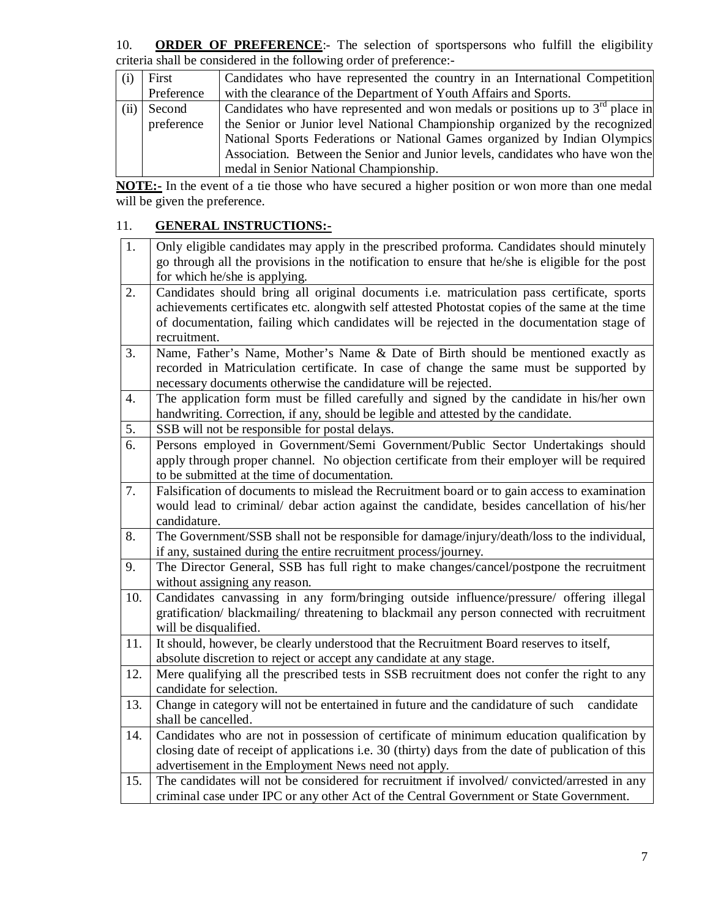10. **ORDER OF PREFERENCE**:- The selection of sportspersons who fulfill the eligibility criteria shall be considered in the following order of preference:-

|      | First      | Candidates who have represented the country in an International Competition      |
|------|------------|----------------------------------------------------------------------------------|
|      | Preference | with the clearance of the Department of Youth Affairs and Sports.                |
| (ii) | Second     | Candidates who have represented and won medals or positions up to $3rd$ place in |
|      | preference | the Senior or Junior level National Championship organized by the recognized     |
|      |            | National Sports Federations or National Games organized by Indian Olympics       |
|      |            | Association. Between the Senior and Junior levels, candidates who have won the   |
|      |            | medal in Senior National Championship.                                           |

**NOTE:-** In the event of a tie those who have secured a higher position or won more than one medal will be given the preference.

## 11. **GENERAL INSTRUCTIONS:-**

| 1.  | Only eligible candidates may apply in the prescribed proforma. Candidates should minutely<br>go through all the provisions in the notification to ensure that he/she is eligible for the post<br>for which he/she is applying.                                                                             |
|-----|------------------------------------------------------------------------------------------------------------------------------------------------------------------------------------------------------------------------------------------------------------------------------------------------------------|
| 2.  | Candidates should bring all original documents i.e. matriculation pass certificate, sports<br>achievements certificates etc. alongwith self attested Photostat copies of the same at the time<br>of documentation, failing which candidates will be rejected in the documentation stage of<br>recruitment. |
| 3.  | Name, Father's Name, Mother's Name & Date of Birth should be mentioned exactly as<br>recorded in Matriculation certificate. In case of change the same must be supported by<br>necessary documents otherwise the candidature will be rejected.                                                             |
| 4.  | The application form must be filled carefully and signed by the candidate in his/her own<br>handwriting. Correction, if any, should be legible and attested by the candidate.                                                                                                                              |
| 5.  | SSB will not be responsible for postal delays.                                                                                                                                                                                                                                                             |
| 6.  | Persons employed in Government/Semi Government/Public Sector Undertakings should<br>apply through proper channel. No objection certificate from their employer will be required<br>to be submitted at the time of documentation.                                                                           |
| 7.  | Falsification of documents to mislead the Recruitment board or to gain access to examination<br>would lead to criminal/ debar action against the candidate, besides cancellation of his/her<br>candidature.                                                                                                |
| 8.  | The Government/SSB shall not be responsible for damage/injury/death/loss to the individual,<br>if any, sustained during the entire recruitment process/journey.                                                                                                                                            |
| 9.  | The Director General, SSB has full right to make changes/cancel/postpone the recruitment<br>without assigning any reason.                                                                                                                                                                                  |
| 10. | Candidates canvassing in any form/bringing outside influence/pressure/ offering illegal<br>gratification/ blackmailing/ threatening to blackmail any person connected with recruitment<br>will be disqualified.                                                                                            |
| 11. | It should, however, be clearly understood that the Recruitment Board reserves to itself,<br>absolute discretion to reject or accept any candidate at any stage.                                                                                                                                            |
| 12. | Mere qualifying all the prescribed tests in SSB recruitment does not confer the right to any<br>candidate for selection.                                                                                                                                                                                   |
| 13. | Change in category will not be entertained in future and the candidature of such<br>candidate<br>shall be cancelled.                                                                                                                                                                                       |
| 14. | Candidates who are not in possession of certificate of minimum education qualification by<br>closing date of receipt of applications i.e. 30 (thirty) days from the date of publication of this<br>advertisement in the Employment News need not apply.                                                    |
| 15. | The candidates will not be considered for recruitment if involved/convicted/arrested in any<br>criminal case under IPC or any other Act of the Central Government or State Government.                                                                                                                     |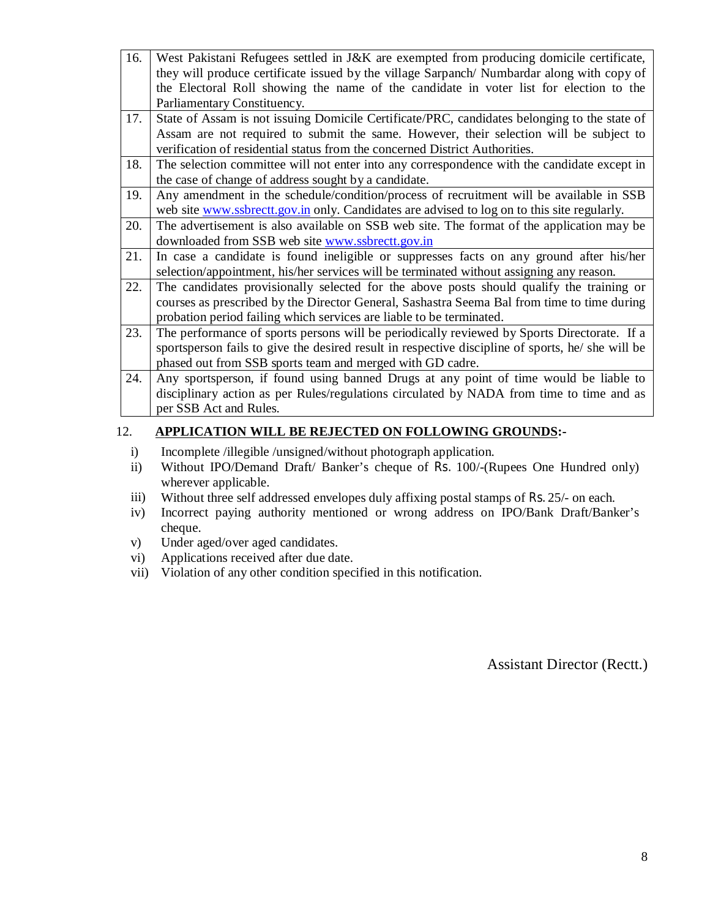| 16. | West Pakistani Refugees settled in J&K are exempted from producing domicile certificate,          |
|-----|---------------------------------------------------------------------------------------------------|
|     | they will produce certificate issued by the village Sarpanch/Numbardar along with copy of         |
|     | the Electoral Roll showing the name of the candidate in voter list for election to the            |
|     | Parliamentary Constituency.                                                                       |
| 17. | State of Assam is not issuing Domicile Certificate/PRC, candidates belonging to the state of      |
|     | Assam are not required to submit the same. However, their selection will be subject to            |
|     | verification of residential status from the concerned District Authorities.                       |
| 18. | The selection committee will not enter into any correspondence with the candidate except in       |
|     | the case of change of address sought by a candidate.                                              |
| 19. | Any amendment in the schedule/condition/process of recruitment will be available in SSB           |
|     | web site www.ssbrectt.gov.in only. Candidates are advised to log on to this site regularly.       |
| 20. | The advertisement is also available on SSB web site. The format of the application may be         |
|     | downloaded from SSB web site www.ssbrectt.gov.in                                                  |
| 21. | In case a candidate is found ineligible or suppresses facts on any ground after his/her           |
|     | selection/appointment, his/her services will be terminated without assigning any reason.          |
| 22. | The candidates provisionally selected for the above posts should qualify the training or          |
|     | courses as prescribed by the Director General, Sashastra Seema Bal from time to time during       |
|     | probation period failing which services are liable to be terminated.                              |
| 23. | The performance of sports persons will be periodically reviewed by Sports Directorate. If a       |
|     | sportsperson fails to give the desired result in respective discipline of sports, he/ she will be |
|     | phased out from SSB sports team and merged with GD cadre.                                         |
| 24. | Any sportsperson, if found using banned Drugs at any point of time would be liable to             |
|     | disciplinary action as per Rules/regulations circulated by NADA from time to time and as          |
|     | per SSB Act and Rules.                                                                            |

#### 12. **APPLICATION WILL BE REJECTED ON FOLLOWING GROUNDS:-**

- i) Incomplete /illegible /unsigned/without photograph application.
- ii) Without IPO/Demand Draft/ Banker's cheque of Rs. 100/-(Rupees One Hundred only) wherever applicable.
- iii) Without three self addressed envelopes duly affixing postal stamps of Rs. 25/- on each.
- iv) Incorrect paying authority mentioned or wrong address on IPO/Bank Draft/Banker's cheque.
- v) Under aged/over aged candidates.
- vi) Applications received after due date.
- vii) Violation of any other condition specified in this notification.

Assistant Director (Rectt.)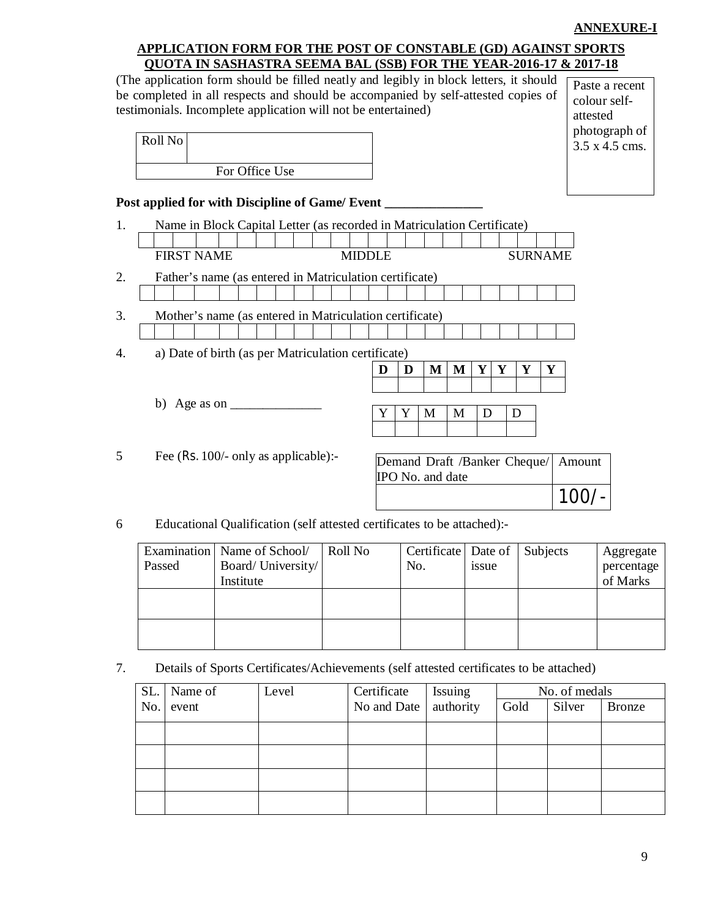## **ANNEXURE-I**

## **APPLICATION FORM FOR THE POST OF CONSTABLE (GD) AGAINST SPORTS QUOTA IN SASHASTRA SEEMA BAL (SSB) FOR THE YEAR-2016-17 & 2017-18**

|    | (The application form should be filled neatly and legibly in block letters, it should<br>be completed in all respects and should be accompanied by self-attested copies of<br>testimonials. Incomplete application will not be entertained) |  |                |  |               |   |   |                                                  |   |   |   |                |             | Paste a recent<br>colour self-<br>attested<br>photograph of |           |  |
|----|---------------------------------------------------------------------------------------------------------------------------------------------------------------------------------------------------------------------------------------------|--|----------------|--|---------------|---|---|--------------------------------------------------|---|---|---|----------------|-------------|-------------------------------------------------------------|-----------|--|
|    | Roll No                                                                                                                                                                                                                                     |  |                |  |               |   |   |                                                  |   |   |   |                |             | 3.5 x 4.5 cms.                                              |           |  |
|    |                                                                                                                                                                                                                                             |  | For Office Use |  |               |   |   |                                                  |   |   |   |                |             |                                                             |           |  |
|    | Post applied for with Discipline of Game/ Event                                                                                                                                                                                             |  |                |  |               |   |   |                                                  |   |   |   |                |             |                                                             |           |  |
| 1. | Name in Block Capital Letter (as recorded in Matriculation Certificate)<br><b>FIRST NAME</b>                                                                                                                                                |  |                |  | <b>MIDDLE</b> |   |   |                                                  |   |   |   | <b>SURNAME</b> |             |                                                             |           |  |
| 2. | Father's name (as entered in Matriculation certificate)                                                                                                                                                                                     |  |                |  |               |   |   |                                                  |   |   |   |                |             |                                                             |           |  |
|    |                                                                                                                                                                                                                                             |  |                |  |               |   |   |                                                  |   |   |   |                |             |                                                             |           |  |
| 3. | Mother's name (as entered in Matriculation certificate)                                                                                                                                                                                     |  |                |  |               |   |   |                                                  |   |   |   |                |             |                                                             |           |  |
| 4. | a) Date of birth (as per Matriculation certificate)                                                                                                                                                                                         |  |                |  |               |   |   |                                                  |   |   |   |                |             |                                                             |           |  |
|    |                                                                                                                                                                                                                                             |  |                |  |               | D | D | $\mathbf{M}$                                     | M | Y | Y | Y              | $\mathbf Y$ |                                                             |           |  |
|    | b) Age as on $\frac{1}{\sqrt{2}}$                                                                                                                                                                                                           |  |                |  |               |   |   |                                                  |   |   |   |                |             |                                                             |           |  |
|    |                                                                                                                                                                                                                                             |  |                |  |               | Y | Y | M                                                | M | D |   | D              |             |                                                             |           |  |
| 5  | Fee (Rs. 100/- only as applicable):-                                                                                                                                                                                                        |  |                |  |               |   |   | Demand Draft /Banker Cheque/<br>IPO No. and date |   |   |   |                |             | Amount                                                      |           |  |
|    |                                                                                                                                                                                                                                             |  |                |  |               |   |   |                                                  |   |   |   |                |             | $100/-$                                                     |           |  |
| 6  | Educational Qualification (self attested certificates to be attached):-                                                                                                                                                                     |  |                |  |               |   |   |                                                  |   |   |   |                |             |                                                             |           |  |
|    | Examination Name of School/                                                                                                                                                                                                                 |  |                |  | Roll No       |   |   | Certificate Date of                              |   |   |   |                | Subjects    |                                                             | Aggregate |  |

|        | Examination   Name of School/ | Roll No | Certificate Date of Subjects |       | Aggregate  |
|--------|-------------------------------|---------|------------------------------|-------|------------|
| Passed | Board/University/             |         | No.                          | issue | percentage |
|        | Institute                     |         |                              |       | of Marks   |
|        |                               |         |                              |       |            |
|        |                               |         |                              |       |            |
|        |                               |         |                              |       |            |
|        |                               |         |                              |       |            |

7. Details of Sports Certificates/Achievements (self attested certificates to be attached)

|     | SL. Name of | Level | Certificate                   | Issuing | No. of medals |        |               |  |  |  |  |  |
|-----|-------------|-------|-------------------------------|---------|---------------|--------|---------------|--|--|--|--|--|
| No. | event       |       | No and Date $\vert$ authority |         | Gold          | Silver | <b>Bronze</b> |  |  |  |  |  |
|     |             |       |                               |         |               |        |               |  |  |  |  |  |
|     |             |       |                               |         |               |        |               |  |  |  |  |  |
|     |             |       |                               |         |               |        |               |  |  |  |  |  |
|     |             |       |                               |         |               |        |               |  |  |  |  |  |
|     |             |       |                               |         |               |        |               |  |  |  |  |  |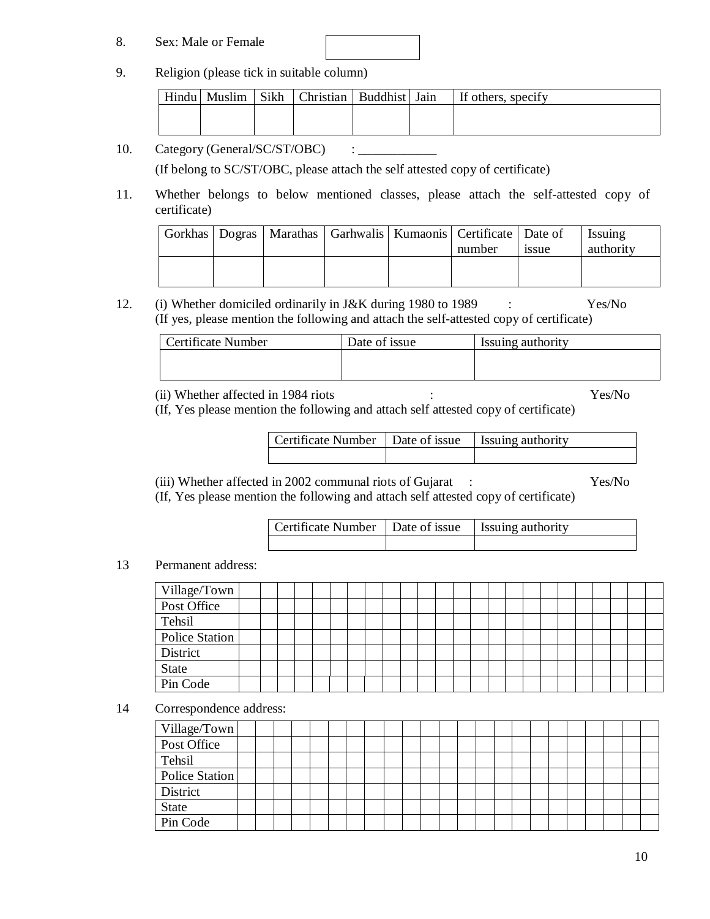#### 8. Sex: Male or Female



|  | Hindu Muslim | Sikh | Christian   Buddhist   Jain |  | If others, specify |
|--|--------------|------|-----------------------------|--|--------------------|
|  |              |      |                             |  |                    |
|  |              |      |                             |  |                    |

10. Category (General/SC/ST/OBC) : \_\_\_\_\_\_\_\_\_\_\_\_

(If belong to SC/ST/OBC, please attach the self attested copy of certificate)

11. Whether belongs to below mentioned classes, please attach the self-attested copy of certificate)

|  |  | Gorkhas   Dogras   Marathas   Garhwalis   Kumaonis   Certificate   Date of |             | <b>Issuing</b> |
|--|--|----------------------------------------------------------------------------|-------------|----------------|
|  |  | number                                                                     | <i>ssue</i> | authority      |
|  |  |                                                                            |             |                |
|  |  |                                                                            |             |                |
|  |  |                                                                            |             |                |

12. (i) Whether domiciled ordinarily in J&K during 1980 to 1989 : Yes/No (If yes, please mention the following and attach the self-attested copy of certificate)

| Certificate Number | Date of issue | Issuing authority |
|--------------------|---------------|-------------------|
|                    |               |                   |
|                    |               |                   |

(ii) Whether affected in 1984 riots : Yes/No

(If, Yes please mention the following and attach self attested copy of certificate)

| Certificate Number   Date of issue   Issuing authority |  |
|--------------------------------------------------------|--|
|                                                        |  |

- (iii) Whether affected in 2002 communal riots of Gujarat : Yes/No
- (If, Yes please mention the following and attach self attested copy of certificate)

| Certificate Number   Date of issue   Issuing authority |  |
|--------------------------------------------------------|--|
|                                                        |  |

## 13 Permanent address:

| Village/Town          |  |  |  |  |  |  |  |  |  |  |  |  |
|-----------------------|--|--|--|--|--|--|--|--|--|--|--|--|
| Post Office           |  |  |  |  |  |  |  |  |  |  |  |  |
| Tehsil                |  |  |  |  |  |  |  |  |  |  |  |  |
| <b>Police Station</b> |  |  |  |  |  |  |  |  |  |  |  |  |
| District              |  |  |  |  |  |  |  |  |  |  |  |  |
| <b>State</b>          |  |  |  |  |  |  |  |  |  |  |  |  |
| Pin Code              |  |  |  |  |  |  |  |  |  |  |  |  |

14 Correspondence address:

| Village/Town   |  |  |  |  |  |  |  |  |  |  |  |  |
|----------------|--|--|--|--|--|--|--|--|--|--|--|--|
| Post Office    |  |  |  |  |  |  |  |  |  |  |  |  |
| Tehsil         |  |  |  |  |  |  |  |  |  |  |  |  |
| Police Station |  |  |  |  |  |  |  |  |  |  |  |  |
| District       |  |  |  |  |  |  |  |  |  |  |  |  |
| State          |  |  |  |  |  |  |  |  |  |  |  |  |
| Pin Code       |  |  |  |  |  |  |  |  |  |  |  |  |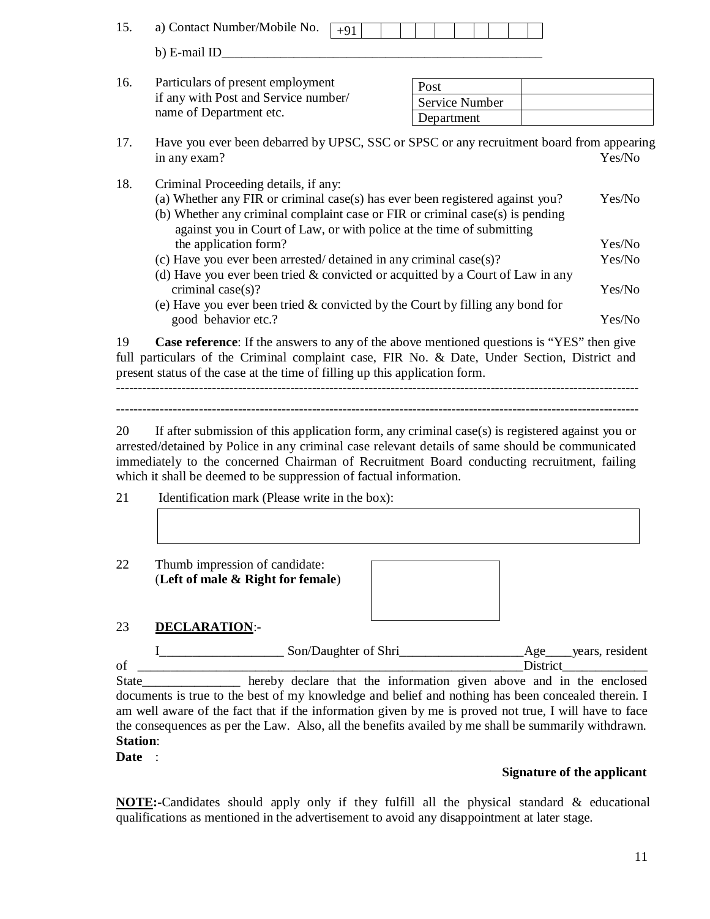| 15. | a) Contact Number/Mobile No.<br>$+91$                                                                                 |                              |        |
|-----|-----------------------------------------------------------------------------------------------------------------------|------------------------------|--------|
|     | b) E-mail ID                                                                                                          |                              |        |
| 16. | Particulars of present employment<br>if any with Post and Service number/<br>name of Department etc.                  | Post                         |        |
|     |                                                                                                                       | Service Number<br>Department |        |
| 17. | Have you ever been debarred by UPSC, SSC or SPSC or any recruitment board from appearing<br>in any exam?              |                              | Yes/No |
| 18. | Criminal Proceeding details, if any:<br>(a) Whether any FIR or criminal case(s) has ever been registered against you? |                              | Yes/No |

| (a) Whether any FIR or criminal case(s) has ever been registered against you?     | Yes/No |
|-----------------------------------------------------------------------------------|--------|
| (b) Whether any criminal complaint case or FIR or criminal case(s) is pending     |        |
| against you in Court of Law, or with police at the time of submitting             |        |
| the application form?                                                             | Yes/No |
| (c) Have you ever been arrested/detained in any criminal case(s)?                 | Yes/No |
| (d) Have you ever been tried $&$ convicted or acquitted by a Court of Law in any  |        |
| criminal case $(s)$ ?                                                             | Yes/No |
| (a) Have you are head to all be convicted fry the Count for Cillian over head for |        |

(e) Have you ever been tried & convicted by the Court by filling any bond for good behavior etc.? Yes/No

19 **Case reference**: If the answers to any of the above mentioned questions is "YES" then give full particulars of the Criminal complaint case, FIR No. & Date, Under Section, District and present status of the case at the time of filling up this application form.

------------------------------------------------------------------------------------------------------------------------

20 If after submission of this application form, any criminal case(s) is registered against you or arrested/detained by Police in any criminal case relevant details of same should be communicated immediately to the concerned Chairman of Recruitment Board conducting recruitment, failing which it shall be deemed to be suppression of factual information.

- 21 Identification mark (Please write in the box):
- 22 Thumb impression of candidate: (**Left of male & Right for female**)



## 23 **DECLARATION**:-

|                 | Son/Daughter of Shri                                                                                  | Age years, resident |
|-----------------|-------------------------------------------------------------------------------------------------------|---------------------|
| οf              |                                                                                                       | District            |
| State           | hereby declare that the information given above and in the enclosed                                   |                     |
|                 | documents is true to the best of my knowledge and belief and nothing has been concealed therein. I    |                     |
|                 | am well aware of the fact that if the information given by me is proved not true, I will have to face |                     |
|                 | the consequences as per the Law. Also, all the benefits availed by me shall be summarily withdrawn.   |                     |
| <b>Station:</b> |                                                                                                       |                     |

**Date** :

## **Signature of the applicant**

**NOTE:-**Candidates should apply only if they fulfill all the physical standard & educational qualifications as mentioned in the advertisement to avoid any disappointment at later stage.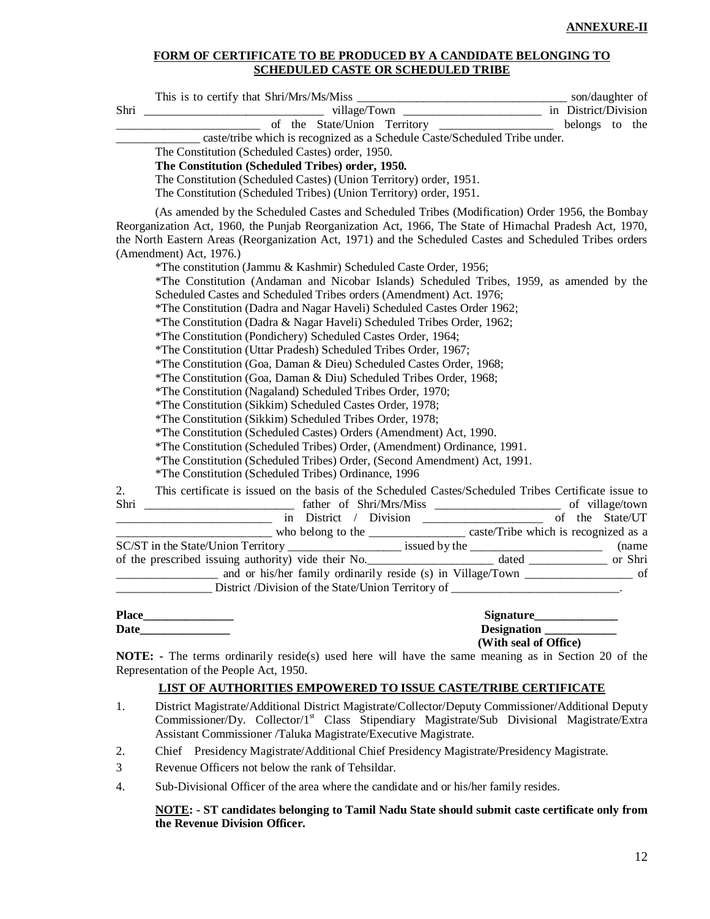#### **FORM OF CERTIFICATE TO BE PRODUCED BY A CANDIDATE BELONGING TO SCHEDULED CASTE OR SCHEDULED TRIBE**

|    | of the State/Union Territory ______________ belongs to the                                                                                                                                                                                                                                                                                                                                                                                                                                                                                                                                                                                                                                                                                                                                                                                                                                                                                                                                                                                                                                                                                                                                                                                                                                                                                                           |  |  |
|----|----------------------------------------------------------------------------------------------------------------------------------------------------------------------------------------------------------------------------------------------------------------------------------------------------------------------------------------------------------------------------------------------------------------------------------------------------------------------------------------------------------------------------------------------------------------------------------------------------------------------------------------------------------------------------------------------------------------------------------------------------------------------------------------------------------------------------------------------------------------------------------------------------------------------------------------------------------------------------------------------------------------------------------------------------------------------------------------------------------------------------------------------------------------------------------------------------------------------------------------------------------------------------------------------------------------------------------------------------------------------|--|--|
|    | ______ caste/tribe which is recognized as a Schedule Caste/Scheduled Tribe under.                                                                                                                                                                                                                                                                                                                                                                                                                                                                                                                                                                                                                                                                                                                                                                                                                                                                                                                                                                                                                                                                                                                                                                                                                                                                                    |  |  |
|    | The Constitution (Scheduled Castes) order, 1950.                                                                                                                                                                                                                                                                                                                                                                                                                                                                                                                                                                                                                                                                                                                                                                                                                                                                                                                                                                                                                                                                                                                                                                                                                                                                                                                     |  |  |
|    | The Constitution (Scheduled Tribes) order, 1950.                                                                                                                                                                                                                                                                                                                                                                                                                                                                                                                                                                                                                                                                                                                                                                                                                                                                                                                                                                                                                                                                                                                                                                                                                                                                                                                     |  |  |
|    | The Constitution (Scheduled Castes) (Union Territory) order, 1951.                                                                                                                                                                                                                                                                                                                                                                                                                                                                                                                                                                                                                                                                                                                                                                                                                                                                                                                                                                                                                                                                                                                                                                                                                                                                                                   |  |  |
|    | The Constitution (Scheduled Tribes) (Union Territory) order, 1951.                                                                                                                                                                                                                                                                                                                                                                                                                                                                                                                                                                                                                                                                                                                                                                                                                                                                                                                                                                                                                                                                                                                                                                                                                                                                                                   |  |  |
|    | (As amended by the Scheduled Castes and Scheduled Tribes (Modification) Order 1956, the Bombay<br>Reorganization Act, 1960, the Punjab Reorganization Act, 1966, The State of Himachal Pradesh Act, 1970,<br>the North Eastern Areas (Reorganization Act, 1971) and the Scheduled Castes and Scheduled Tribes orders<br>(Amendment) Act, 1976.)<br>*The constitution (Jammu & Kashmir) Scheduled Caste Order, 1956;<br>*The Constitution (Andaman and Nicobar Islands) Scheduled Tribes, 1959, as amended by the<br>Scheduled Castes and Scheduled Tribes orders (Amendment) Act. 1976;<br>*The Constitution (Dadra and Nagar Haveli) Scheduled Castes Order 1962;<br>*The Constitution (Dadra & Nagar Haveli) Scheduled Tribes Order, 1962;<br>*The Constitution (Pondichery) Scheduled Castes Order, 1964;<br>*The Constitution (Uttar Pradesh) Scheduled Tribes Order, 1967;<br>*The Constitution (Goa, Daman & Dieu) Scheduled Castes Order, 1968;<br>*The Constitution (Goa, Daman & Diu) Scheduled Tribes Order, 1968;<br>*The Constitution (Nagaland) Scheduled Tribes Order, 1970;<br>*The Constitution (Sikkim) Scheduled Castes Order, 1978;<br>*The Constitution (Sikkim) Scheduled Tribes Order, 1978;<br>*The Constitution (Scheduled Castes) Orders (Amendment) Act, 1990.<br>*The Constitution (Scheduled Tribes) Order, (Amendment) Ordinance, 1991. |  |  |
|    | *The Constitution (Scheduled Tribes) Order, (Second Amendment) Act, 1991.                                                                                                                                                                                                                                                                                                                                                                                                                                                                                                                                                                                                                                                                                                                                                                                                                                                                                                                                                                                                                                                                                                                                                                                                                                                                                            |  |  |
|    | *The Constitution (Scheduled Tribes) Ordinance, 1996                                                                                                                                                                                                                                                                                                                                                                                                                                                                                                                                                                                                                                                                                                                                                                                                                                                                                                                                                                                                                                                                                                                                                                                                                                                                                                                 |  |  |
| 2. | This certificate is issued on the basis of the Scheduled Castes/Scheduled Tribes Certificate issue to                                                                                                                                                                                                                                                                                                                                                                                                                                                                                                                                                                                                                                                                                                                                                                                                                                                                                                                                                                                                                                                                                                                                                                                                                                                                |  |  |
|    | ari and the matter of Shri/Mrs/Miss and the State/UT contract of the State/UT contract of the State/UT                                                                                                                                                                                                                                                                                                                                                                                                                                                                                                                                                                                                                                                                                                                                                                                                                                                                                                                                                                                                                                                                                                                                                                                                                                                               |  |  |
|    |                                                                                                                                                                                                                                                                                                                                                                                                                                                                                                                                                                                                                                                                                                                                                                                                                                                                                                                                                                                                                                                                                                                                                                                                                                                                                                                                                                      |  |  |
|    |                                                                                                                                                                                                                                                                                                                                                                                                                                                                                                                                                                                                                                                                                                                                                                                                                                                                                                                                                                                                                                                                                                                                                                                                                                                                                                                                                                      |  |  |
|    |                                                                                                                                                                                                                                                                                                                                                                                                                                                                                                                                                                                                                                                                                                                                                                                                                                                                                                                                                                                                                                                                                                                                                                                                                                                                                                                                                                      |  |  |
|    | and or his/her family ordinarily reside (s) in Village/Town ____________________ of                                                                                                                                                                                                                                                                                                                                                                                                                                                                                                                                                                                                                                                                                                                                                                                                                                                                                                                                                                                                                                                                                                                                                                                                                                                                                  |  |  |
|    | District /Division of the State/Union Territory of ____________________________.                                                                                                                                                                                                                                                                                                                                                                                                                                                                                                                                                                                                                                                                                                                                                                                                                                                                                                                                                                                                                                                                                                                                                                                                                                                                                     |  |  |
|    |                                                                                                                                                                                                                                                                                                                                                                                                                                                                                                                                                                                                                                                                                                                                                                                                                                                                                                                                                                                                                                                                                                                                                                                                                                                                                                                                                                      |  |  |
|    | Signature______________                                                                                                                                                                                                                                                                                                                                                                                                                                                                                                                                                                                                                                                                                                                                                                                                                                                                                                                                                                                                                                                                                                                                                                                                                                                                                                                                              |  |  |
|    | Designation                                                                                                                                                                                                                                                                                                                                                                                                                                                                                                                                                                                                                                                                                                                                                                                                                                                                                                                                                                                                                                                                                                                                                                                                                                                                                                                                                          |  |  |
|    | (With seal of Office)                                                                                                                                                                                                                                                                                                                                                                                                                                                                                                                                                                                                                                                                                                                                                                                                                                                                                                                                                                                                                                                                                                                                                                                                                                                                                                                                                |  |  |
|    | <b>NOTE:</b> - The terms ordinarily reside(s) used here will have the same meaning as in Section 20 of the<br>Representation of the People Act, 1950.                                                                                                                                                                                                                                                                                                                                                                                                                                                                                                                                                                                                                                                                                                                                                                                                                                                                                                                                                                                                                                                                                                                                                                                                                |  |  |
|    | LIST OF AUTHORITIES EMPOWERED TO ISSUE CASTE/TRIBE CERTIFICATE                                                                                                                                                                                                                                                                                                                                                                                                                                                                                                                                                                                                                                                                                                                                                                                                                                                                                                                                                                                                                                                                                                                                                                                                                                                                                                       |  |  |
| 1. | District Magistrate/Additional District Magistrate/Collector/Deputy Commissioner/Additional Deputy<br>Commissioner/Dy. Collector/1 <sup>st</sup> Class Stipendiary Magistrate/Sub Divisional Magistrate/Extra<br>Assistant Commissioner /Taluka Magistrate/Executive Magistrate.                                                                                                                                                                                                                                                                                                                                                                                                                                                                                                                                                                                                                                                                                                                                                                                                                                                                                                                                                                                                                                                                                     |  |  |
| 2. | Chief Presidency Magistrate/Additional Chief Presidency Magistrate/Presidency Magistrate.                                                                                                                                                                                                                                                                                                                                                                                                                                                                                                                                                                                                                                                                                                                                                                                                                                                                                                                                                                                                                                                                                                                                                                                                                                                                            |  |  |
| 3  | Revenue Officers not below the rank of Tehsildar.                                                                                                                                                                                                                                                                                                                                                                                                                                                                                                                                                                                                                                                                                                                                                                                                                                                                                                                                                                                                                                                                                                                                                                                                                                                                                                                    |  |  |
| 4. | Sub-Divisional Officer of the area where the candidate and or his/her family resides.                                                                                                                                                                                                                                                                                                                                                                                                                                                                                                                                                                                                                                                                                                                                                                                                                                                                                                                                                                                                                                                                                                                                                                                                                                                                                |  |  |

**NOTE: - ST candidates belonging to Tamil Nadu State should submit caste certificate only from the Revenue Division Officer.**